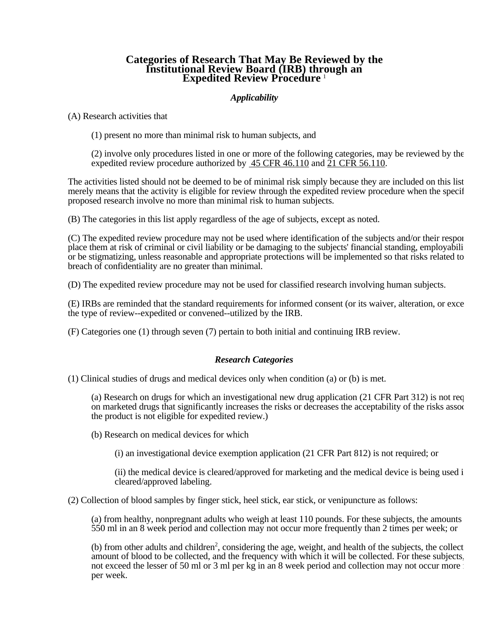## **Categories of Research That May Be Reviewed by the Institutional Review Board (IRB) through an Expedited Review Procedure** 1

## *Applicability*

(A) Research activities that

(1) present no more than minimal risk to human subjects, and

(2) involve only procedures listed in one or more of the following categories, may be reviewed by the expedited review procedure authorized by 45 CFR 46.110 and 21 CFR 56.110.

The activities listed should not be deemed to be of minimal risk simply because they are included on this list merely means that the activity is eligible for review through the expedited review procedure when the specif proposed research involve no more than minimal risk to human subjects.

(B) The categories in this list apply regardless of the age of subjects, except as noted.

(C) The expedited review procedure may not be used where identification of the subjects and/or their respon place them at risk of criminal or civil liability or be damaging to the subjects' financial standing, employabili or be stigmatizing, unless reasonable and appropriate protections will be implemented so that risks related to breach of confidentiality are no greater than minimal.

(D) The expedited review procedure may not be used for classified research involving human subjects.

(E) IRBs are reminded that the standard requirements for informed consent (or its waiver, alteration, or exce the type of review--expedited or convened--utilized by the IRB.

(F) Categories one (1) through seven (7) pertain to both initial and continuing IRB review.

## *Research Categories*

(1) Clinical studies of drugs and medical devices only when condition (a) or (b) is met.

(a) Research on drugs for which an investigational new drug application (21 CFR Part 312) is not req on marketed drugs that significantly increases the risks or decreases the acceptability of the risks assoc the product is not eligible for expedited review.)

(b) Research on medical devices for which

(i) an investigational device exemption application (21 CFR Part 812) is not required; or

(ii) the medical device is cleared/approved for marketing and the medical device is being used in cleared/approved labeling.

(2) Collection of blood samples by finger stick, heel stick, ear stick, or venipuncture as follows:

(a) from healthy, nonpregnant adults who weigh at least 110 pounds. For these subjects, the amounts 550 ml in an 8 week period and collection may not occur more frequently than 2 times per week; or

(b) from other adults and children<sup>2</sup>, considering the age, weight, and health of the subjects, the collect amount of blood to be collected, and the frequency with which it will be collected. For these subjects, not exceed the lesser of 50 ml or 3 ml per kg in an 8 week period and collection may not occur more for per week.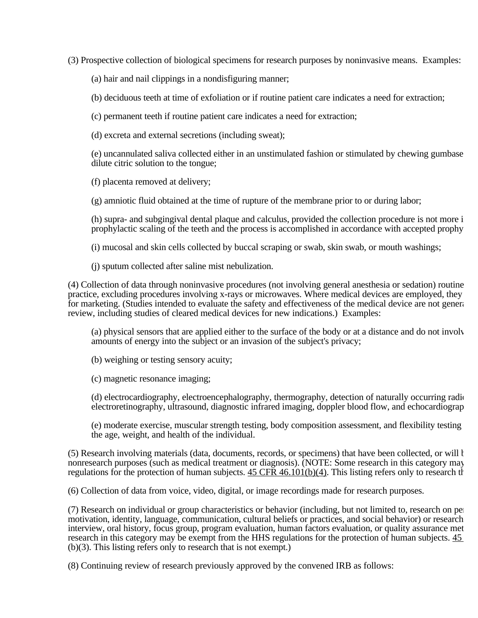(3) Prospective collection of biological specimens for research purposes by noninvasive means. Examples:

(a) hair and nail clippings in a nondisfiguring manner;

(b) deciduous teeth at time of exfoliation or if routine patient care indicates a need for extraction;

(c) permanent teeth if routine patient care indicates a need for extraction;

(d) excreta and external secretions (including sweat);

(e) uncannulated saliva collected either in an unstimulated fashion or stimulated by chewing gumbase dilute citric solution to the tongue;

(f) placenta removed at delivery;

(g) amniotic fluid obtained at the time of rupture of the membrane prior to or during labor;

(h) supra- and subgingival dental plaque and calculus, provided the collection procedure is not more in prophylactic scaling of the teeth and the process is accomplished in accordance with accepted prophy

(i) mucosal and skin cells collected by buccal scraping or swab, skin swab, or mouth washings;

(j) sputum collected after saline mist nebulization.

(4) Collection of data through noninvasive procedures (not involving general anesthesia or sedation) routine practice, excluding procedures involving x-rays or microwaves. Where medical devices are employed, they for marketing. (Studies intended to evaluate the safety and effectiveness of the medical device are not genera review, including studies of cleared medical devices for new indications.) Examples:

(a) physical sensors that are applied either to the surface of the body or at a distance and do not involv amounts of energy into the subject or an invasion of the subject's privacy;

(b) weighing or testing sensory acuity;

(c) magnetic resonance imaging;

(d) electrocardiography, electroencephalography, thermography, detection of naturally occurring radio electroretinography, ultrasound, diagnostic infrared imaging, doppler blood flow, and echocardiograp

(e) moderate exercise, muscular strength testing, body composition assessment, and flexibility testing w the age, weight, and health of the individual.

(5) Research involving materials (data, documents, records, or specimens) that have been collected, or will b nonresearch purposes (such as medical treatment or diagnosis). (NOTE: Some research in this category may regulations for the protection of human subjects.  $45 \overline{\text{CFR}}$   $46.101(b)(4)$ . This listing refers only to research the

(6) Collection of data from voice, video, digital, or image recordings made for research purposes.

(7) Research on individual or group characteristics or behavior (including, but not limited to, research on per motivation, identity, language, communication, cultural beliefs or practices, and social behavior) or research interview, oral history, focus group, program evaluation, human factors evaluation, or quality assurance met research in this category may be exempt from the HHS regulations for the protection of human subjects. 45 (b)(3). This listing refers only to research that is not exempt.)

(8) Continuing review of research previously approved by the convened IRB as follows: